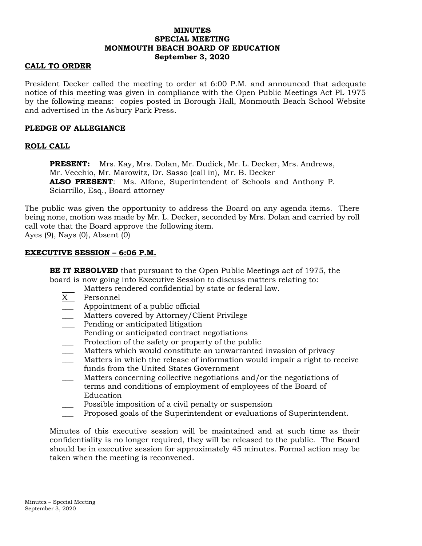# **MINUTES SPECIAL MEETING MONMOUTH BEACH BOARD OF EDUCATION September 3, 2020**

## **CALL TO ORDER**

President Decker called the meeting to order at 6:00 P.M. and announced that adequate notice of this meeting was given in compliance with the Open Public Meetings Act PL 1975 by the following means: copies posted in Borough Hall, Monmouth Beach School Website and advertised in the Asbury Park Press.

## **PLEDGE OF ALLEGIANCE**

# **ROLL CALL**

**PRESENT:** Mrs. Kay, Mrs. Dolan, Mr. Dudick, Mr. L. Decker, Mrs. Andrews, Mr. Vecchio, Mr. Marowitz, Dr. Sasso (call in), Mr. B. Decker **ALSO PRESENT**: Ms. Alfone, Superintendent of Schools and Anthony P. Sciarrillo, Esq., Board attorney

The public was given the opportunity to address the Board on any agenda items. There being none, motion was made by Mr. L. Decker, seconded by Mrs. Dolan and carried by roll call vote that the Board approve the following item.

Ayes (9), Nays (0), Absent (0)

## **EXECUTIVE SESSION – 6:06 P.M.**

**BE IT RESOLVED** that pursuant to the Open Public Meetings act of 1975, the board is now going into Executive Session to discuss matters relating to:

Matters rendered confidential by state or federal law.

- X Personnel
- \_\_\_ Appointment of a public official
- Matters covered by Attorney/Client Privilege
- Pending or anticipated litigation
- Pending or anticipated contract negotiations
- Protection of the safety or property of the public
- Matters which would constitute an unwarranted invasion of privacy
- \_\_\_ Matters in which the release of information would impair a right to receive funds from the United States Government
- Matters concerning collective negotiations and/or the negotiations of terms and conditions of employment of employees of the Board of Education
- Possible imposition of a civil penalty or suspension
- \_\_\_ Proposed goals of the Superintendent or evaluations of Superintendent.

Minutes of this executive session will be maintained and at such time as their confidentiality is no longer required, they will be released to the public. The Board should be in executive session for approximately 45 minutes. Formal action may be taken when the meeting is reconvened.